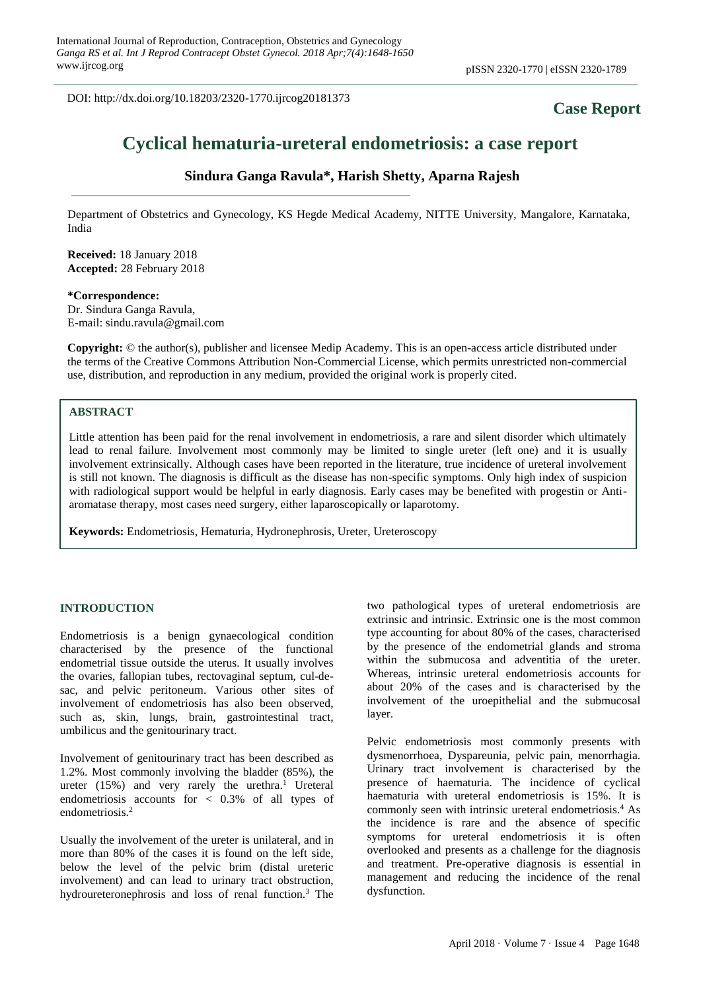DOI: http://dx.doi.org/10.18203/2320-1770.ijrcog20181373

## **Case Report**

# **Cyclical hematuria-ureteral endometriosis: a case report**

## **Sindura Ganga Ravula\*, Harish Shetty, Aparna Rajesh**

Department of Obstetrics and Gynecology, KS Hegde Medical Academy, NITTE University, Mangalore, Karnataka, India

**Received:** 18 January 2018 **Accepted:** 28 February 2018

**\*Correspondence:** Dr. Sindura Ganga Ravula, E-mail: sindu.ravula@gmail.com

**Copyright:** © the author(s), publisher and licensee Medip Academy. This is an open-access article distributed under the terms of the Creative Commons Attribution Non-Commercial License, which permits unrestricted non-commercial use, distribution, and reproduction in any medium, provided the original work is properly cited.

## **ABSTRACT**

Little attention has been paid for the renal involvement in endometriosis, a rare and silent disorder which ultimately lead to renal failure. Involvement most commonly may be limited to single ureter (left one) and it is usually involvement extrinsically. Although cases have been reported in the literature, true incidence of ureteral involvement is still not known. The diagnosis is difficult as the disease has non-specific symptoms. Only high index of suspicion with radiological support would be helpful in early diagnosis. Early cases may be benefited with progestin or Antiaromatase therapy, most cases need surgery, either laparoscopically or laparotomy.

**Keywords:** Endometriosis, Hematuria, Hydronephrosis, Ureter, Ureteroscopy

#### **INTRODUCTION**

Endometriosis is a benign gynaecological condition characterised by the presence of the functional endometrial tissue outside the uterus. It usually involves the ovaries, fallopian tubes, rectovaginal septum, cul-desac, and pelvic peritoneum. Various other sites of involvement of endometriosis has also been observed, such as, skin, lungs, brain, gastrointestinal tract, umbilicus and the genitourinary tract.

Involvement of genitourinary tract has been described as 1.2%. Most commonly involving the bladder (85%), the ureter  $(15%)$  and very rarely the urethra.<sup>1</sup> Ureteral endometriosis accounts for < 0.3% of all types of endometriosis.<sup>2</sup>

Usually the involvement of the ureter is unilateral, and in more than 80% of the cases it is found on the left side, below the level of the pelvic brim (distal ureteric involvement) and can lead to urinary tract obstruction, hydroureteronephrosis and loss of renal function.<sup>3</sup> The two pathological types of ureteral endometriosis are extrinsic and intrinsic. Extrinsic one is the most common type accounting for about 80% of the cases, characterised by the presence of the endometrial glands and stroma within the submucosa and adventitia of the ureter. Whereas, intrinsic ureteral endometriosis accounts for about 20% of the cases and is characterised by the involvement of the uroepithelial and the submucosal layer.

Pelvic endometriosis most commonly presents with dysmenorrhoea, Dyspareunia, pelvic pain, menorrhagia. Urinary tract involvement is characterised by the presence of haematuria. The incidence of cyclical haematuria with ureteral endometriosis is 15%. It is commonly seen with intrinsic ureteral endometriosis.<sup>4</sup> As the incidence is rare and the absence of specific symptoms for ureteral endometriosis it is often overlooked and presents as a challenge for the diagnosis and treatment. Pre-operative diagnosis is essential in management and reducing the incidence of the renal dysfunction.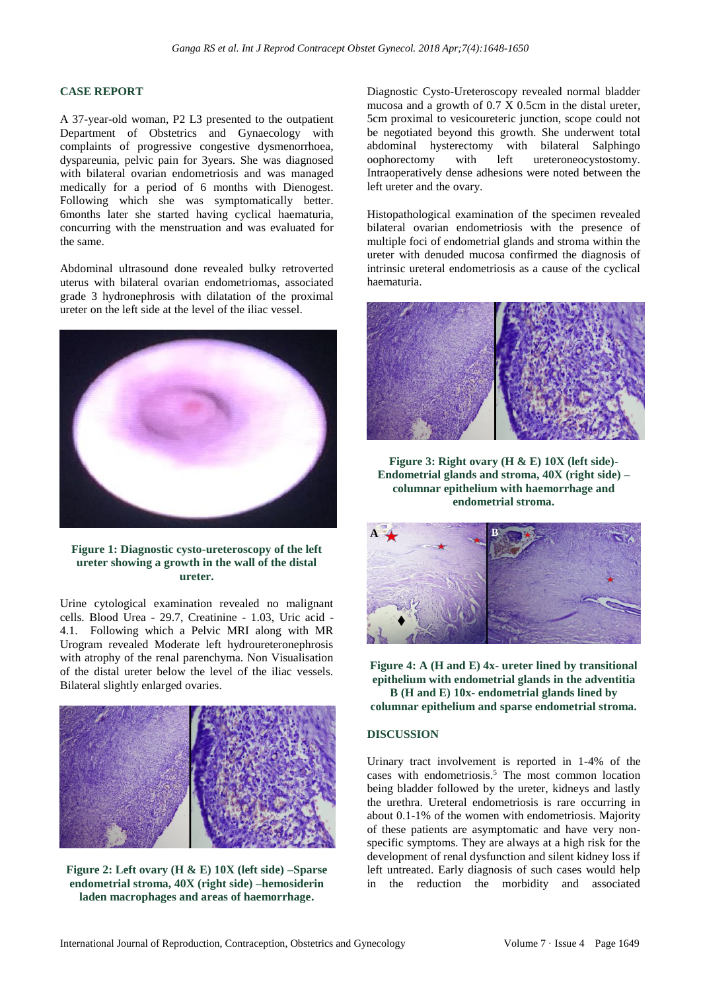## **CASE REPORT**

A 37-year-old woman, P2 L3 presented to the outpatient Department of Obstetrics and Gynaecology with complaints of progressive congestive dysmenorrhoea, dyspareunia, pelvic pain for 3years. She was diagnosed with bilateral ovarian endometriosis and was managed medically for a period of 6 months with Dienogest. Following which she was symptomatically better. 6months later she started having cyclical haematuria, concurring with the menstruation and was evaluated for the same.

Abdominal ultrasound done revealed bulky retroverted uterus with bilateral ovarian endometriomas, associated grade 3 hydronephrosis with dilatation of the proximal ureter on the left side at the level of the iliac vessel.



**Figure 1: Diagnostic cysto-ureteroscopy of the left ureter showing a growth in the wall of the distal ureter.**

Urine cytological examination revealed no malignant cells. Blood Urea - 29.7, Creatinine - 1.03, Uric acid - 4.1. Following which a Pelvic MRI along with MR Urogram revealed Moderate left hydroureteronephrosis with atrophy of the renal parenchyma. Non Visualisation of the distal ureter below the level of the iliac vessels. Bilateral slightly enlarged ovaries.



**Figure 2: Left ovary (H & E) 10X (left side) –Sparse endometrial stroma, 40X (right side) –hemosiderin laden macrophages and areas of haemorrhage.**

Diagnostic Cysto-Ureteroscopy revealed normal bladder mucosa and a growth of 0.7 X 0.5cm in the distal ureter, 5cm proximal to vesicoureteric junction, scope could not be negotiated beyond this growth. She underwent total abdominal hysterectomy with bilateral Salphingo oophorectomy with left ureteroneocystostomy. Intraoperatively dense adhesions were noted between the left ureter and the ovary.

Histopathological examination of the specimen revealed bilateral ovarian endometriosis with the presence of multiple foci of endometrial glands and stroma within the ureter with denuded mucosa confirmed the diagnosis of intrinsic ureteral endometriosis as a cause of the cyclical haematuria.



**Figure 3: Right ovary (H & E) 10X (left side)- Endometrial glands and stroma, 40X (right side) – columnar epithelium with haemorrhage and endometrial stroma.**



**Figure 4: A (H and E) 4x- ureter lined by transitional epithelium with endometrial glands in the adventitia B (H and E) 10x- endometrial glands lined by columnar epithelium and sparse endometrial stroma.**

## **DISCUSSION**

Urinary tract involvement is reported in 1-4% of the cases with endometriosis.<sup>5</sup> The most common location being bladder followed by the ureter, kidneys and lastly the urethra. Ureteral endometriosis is rare occurring in about 0.1-1% of the women with endometriosis. Majority of these patients are asymptomatic and have very nonspecific symptoms. They are always at a high risk for the development of renal dysfunction and silent kidney loss if left untreated. Early diagnosis of such cases would help in the reduction the morbidity and associated